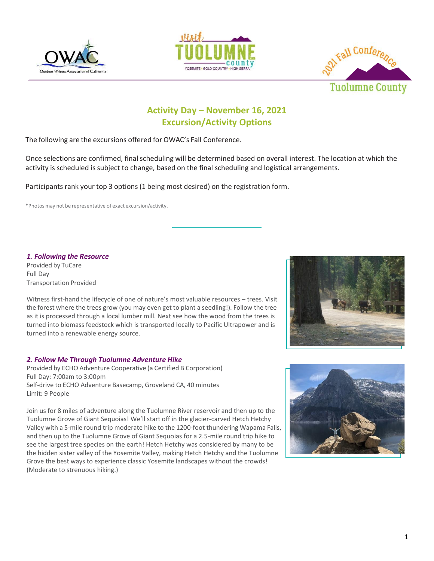





# **Activity Day – November 16, 2021 Excursion/Activity Options**

The following are the excursions offered for OWAC's Fall Conference.

Once selections are confirmed, final scheduling will be determined based on overall interest. The location at which the activity is scheduled is subject to change, based on the final scheduling and logistical arrangements.

Participants rank your top 3 options (1 being most desired) on the registration form.

\*Photos may not be representative of exact excursion/activity.

*1. Following the Resource*

Provided by TuCare Full Day Transportation Provided

Witness first-hand the lifecycle of one of nature's most valuable resources – trees. Visit the forest where the trees grow (you may even get to plant a seedling!). Follow the tree as it is processed through a local lumber mill. Next see how the wood from the trees is turned into biomass feedstock which is transported locally to Pacific Ultrapower and is turned into a renewable energy source.

# *2. Follow Me Through Tuolumne Adventure Hike*

Provided by ECHO Adventure Cooperative (a Certified B Corporation) Full Day: 7:00am to 3:00pm Self-drive to ECHO Adventure Basecamp, Groveland CA, 40 minutes Limit: 9 People

Join us for 8 miles of adventure along the Tuolumne River reservoir and then up to the Tuolumne Grove of Giant Sequoias! We'll start off in the glacier-carved Hetch Hetchy Valley with a 5-mile round trip moderate hike to the 1200-foot thundering Wapama Falls, and then up to the Tuolumne Grove of Giant Sequoias for a 2.5-mile round trip hike to see the largest tree species on the earth! Hetch Hetchy was considered by many to be the hidden sister valley of the Yosemite Valley, making Hetch Hetchy and the Tuolumne Grove the best ways to experience classic Yosemite landscapes without the crowds! (Moderate to strenuous hiking.)



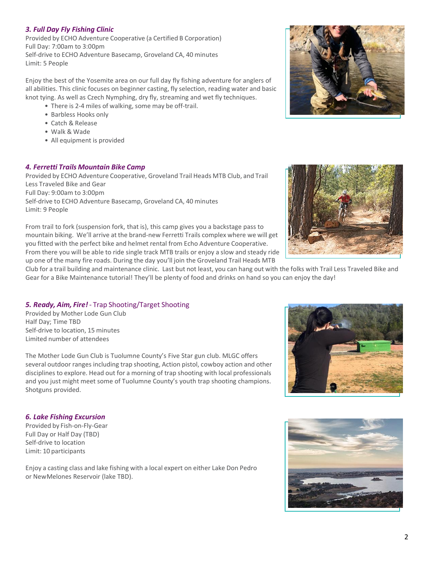# *3. Full Day Fly Fishing Clinic*

Provided by ECHO Adventure Cooperative (a Certified B Corporation) Full Day: 7:00am to 3:00pm Self-drive to ECHO Adventure Basecamp, Groveland CA, 40 minutes Limit: 5 People

Enjoy the best of the Yosemite area on our full day fly fishing adventure for anglers of all abilities. This clinic focuses on beginner casting, fly selection, reading water and basic knot tying. As well as Czech Nymphing, dry fly, streaming and wet fly techniques.

- There is 2-4 miles of walking, some may be off-trail.
- Barbless Hooks only
- Catch & Release
- Walk & Wade
- All equipment is provided

### *4. Ferretti Trails Mountain Bike Camp*

Provided by ECHO Adventure Cooperative, Groveland Trail Heads MTB Club, and Trail Less Traveled Bike and Gear Full Day: 9:00am to 3:00pm Self-drive to ECHO Adventure Basecamp, Groveland CA, 40 minutes Limit: 9 People

From trail to fork (suspension fork, that is), this camp gives you a backstage pass to mountain biking. We'll arrive at the brand-new Ferretti Trails complex where we will get you fitted with the perfect bike and helmet rental from Echo Adventure Cooperative. From there you will be able to ride single track MTB trails or enjoy a slow and steady ride up one of the many fire roads. During the day you'll join the Groveland Trail Heads MTB

Club for a trail building and maintenance clinic. Last but not least, you can hang out with the folks with Trail Less Traveled Bike and Gear for a Bike Maintenance tutorial! They'll be plenty of food and drinks on hand so you can enjoy the day!

# *5. Ready, Aim, Fire!* - Trap Shooting/Target Shooting

Provided by Mother Lode Gun Club Half Day; Time TBD Self-drive to location, 15 minutes Limited number of attendees

The Mother Lode Gun Club is Tuolumne County's Five Star gun club. MLGC offers several outdoor ranges including trap shooting, Action pistol, cowboy action and other disciplines to explore. Head out for a morning of trap shooting with local professionals and you just might meet some of Tuolumne County's youth trap shooting champions. Shotguns provided.

### *6. Lake Fishing Excursion*

Provided by Fish-on-Fly-Gear Full Day or Half Day (TBD) Self-drive to location Limit: 10 participants

Enjoy a casting class and lake fishing with a local expert on either Lake Don Pedro or NewMelones Reservoir (lake TBD).







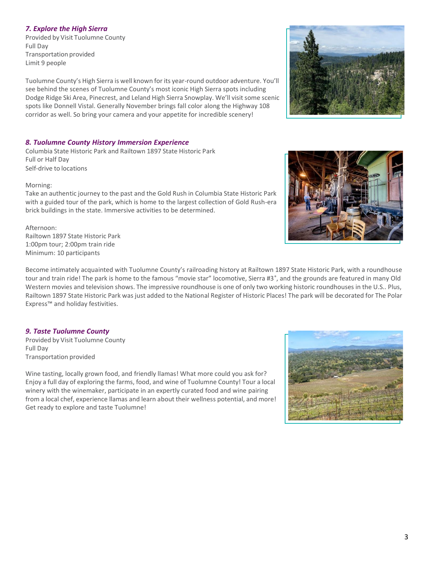# *7. Explore the High Sierra*

Provided by Visit Tuolumne County Full Day Transportation provided Limit 9 people

Tuolumne County's High Sierra is well known for its year-round outdoor adventure. You'll see behind the scenes of Tuolumne County's most iconic High Sierra spots including Dodge Ridge Ski Area, Pinecrest, and Leland High Sierra Snowplay. We'll visit some scenic spots like Donnell Vistal. Generally November brings fall color along the Highway 108 corridor as well. So bring your camera and your appetite for incredible scenery!

## *8. Tuolumne County History Immersion Experience*

Columbia State Historic Park and Railtown 1897 State Historic Park Full or Half Day Self-drive to locations

Morning:

Take an authentic journey to the past and the Gold Rush in Columbia State Historic Park with a guided tour of the park, which is home to the largest collection of Gold Rush-era brick buildings in the state. Immersive activities to be determined.

### Afternoon:

Railtown 1897 State Historic Park 1:00pm tour; 2:00pm train ride Minimum: 10 participants

Become intimately acquainted with Tuolumne County's railroading history at Railtown 1897 State Historic Park, with a roundhouse tour and train ride! The park is home to the famous "movie star" locomotive, Sierra #3<sup>®</sup>, and the grounds are featured in many Old Western movies and television shows. The impressive roundhouse is one of only two working historic roundhouses in the U.S.. Plus, Railtown 1897 State Historic Park was just added to the National Register of Historic Places! The park will be decorated for The Polar Express™ and holiday festivities.

### *9. Taste Tuolumne County*

Provided by Visit Tuolumne County Full Day Transportation provided

Wine tasting, locally grown food, and friendly llamas! What more could you ask for? Enjoy a full day of exploring the farms, food, and wine of Tuolumne County! Tour a local winery with the winemaker, participate in an expertly curated food and wine pairing from a local chef, experience llamas and learn about their wellness potential, and more! Get ready to explore and taste Tuolumne!





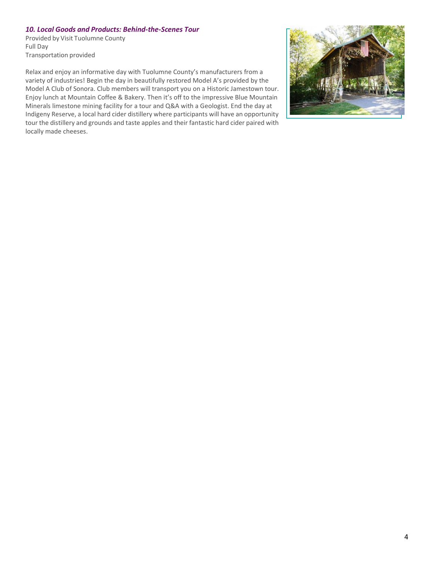# *10. Local Goods and Products: Behind-the-Scenes Tour*

Provided by Visit Tuolumne County Full Day Transportation provided

Relax and enjoy an informative day with Tuolumne County's manufacturers from a variety of industries! Begin the day in beautifully restored Model A's provided by the Model A Club of Sonora. Club members will transport you on a Historic Jamestown tour. Enjoy lunch at Mountain Coffee & Bakery. Then it's off to the impressive Blue Mountain Minerals limestone mining facility for a tour and Q&A with a Geologist. End the day at Indigeny Reserve, a local hard cider distillery where participants will have an opportunity tour the distillery and grounds and taste apples and their fantastic hard cider paired with locally made cheeses.

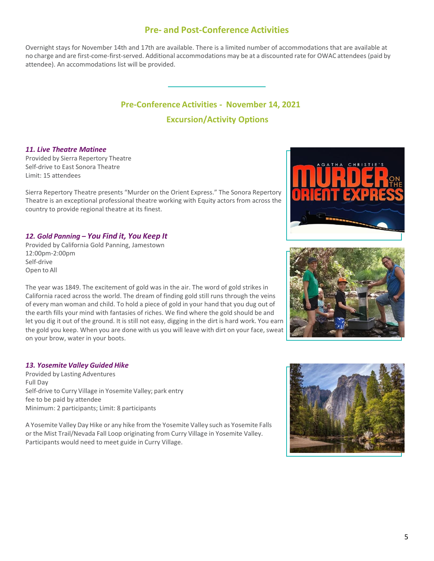# **Pre- and Post-Conference Activities**

Overnight stays for November 14th and 17th are available. There is a limited number of accommodations that are available at no charge and are first-come-first-served. Additional accommodations may be at a discounted rate for OWAC attendees (paid by attendee). An accommodations list will be provided.

# **Pre-Conference Activities - November 14, 2021 Excursion/Activity Options**

### *11. Live Theatre Matinee*

Provided by Sierra Repertory Theatre Self-drive to East Sonora Theatre Limit: 15 attendees

Sierra Repertory Theatre presents "Murder on the Orient Express." The Sonora Repertory Theatre is an exceptional professional theatre working with Equity actors from across the country to provide regional theatre at its finest.

# *12. Gold Panning – You Find it, You Keep It*

Provided by California Gold Panning, Jamestown 12:00pm-2:00pm Self-drive Open to All

The year was 1849. The excitement of gold was in the air. The word of gold strikes in California raced across the world. The dream of finding gold still runs through the veins of every man woman and child. To hold a piece of gold in your hand that you dug out of the earth fills your mind with fantasies of riches. We find where the gold should be and let you dig it out of the ground. It is still not easy, digging in the dirt is hard work. You earn the gold you keep. When you are done with us you will leave with dirt on your face, sweat on your brow, water in your boots.

# *13. Yosemite Valley Guided Hike*

Provided by Lasting Adventures Full Day Self-drive to Curry Village in Yosemite Valley; park entry fee to be paid by attendee Minimum: 2 participants; Limit: 8 participants

A Yosemite Valley Day Hike or any hike from the Yosemite Valley such as Yosemite Falls or the Mist Trail/Nevada Fall Loop originating from Curry Village in Yosemite Valley. Participants would need to meet guide in Curry Village.